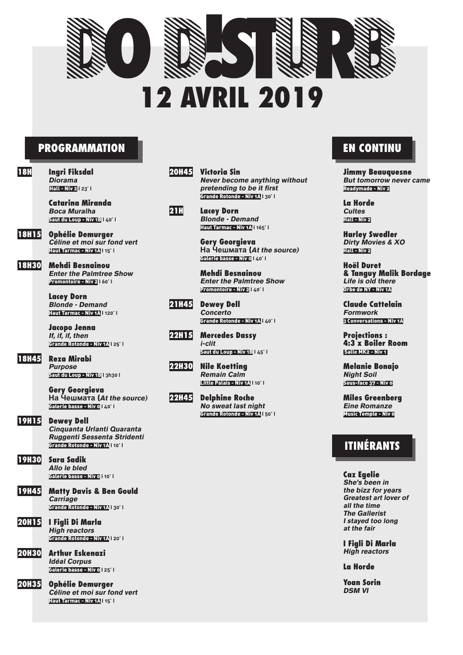

## 12 AVRIL 2019

### PROGRAMMATION **ENGINEERING ENGINEERING ENGINEERING ENGINEERING ENGINEERING ENGINEERING ENGINEERING ENGINEERING**

18H Ingri Fiksdal **Diorama** Hall - Niv 2 **I 23' I**

> Catarina Miranda **Boca Muralha** Saut du Loup - Niv 1B **I 40' I**

18H15 Ophélie Demurger **Céline et moi sur fond vert** Haut Tarmac - Niv 1A **I 15' I**

18H30 Mehdi Besnainou **Enter the Palmtree Show** Promontoire - Niv 2 **I 60' I**

> Lacey Dorn **Blonde - Demand** Haut Tarmac - Niv 1A **I 120' I**

Jacopo Jenna **If, if, if, then** Grande Rotonde - Niv 1A **I 25' I**

18H45 Reza Mirabi **Purpose** Saut du Loup - Niv 1B **I 3h30 I**

> Gery Georgieva **На Чешмата** (**At the source)** Galerie basse - Niv 0 **I 40' I**

19H15 Dewey Dell **Cinquanta Urlanti Quaranta Ruggenti Sessenta Stridenti** Grande Rotonde - Niv 1A **I 10' I**

19H30 Sara Sadik **Allo le bled** Galerie basse - Niv 0 **I 10' I**

19H45 Matty Davis & Ben Gould **Carriage** Grande Rotonde - Niv 1A **I 30' I**

20H15 I Figli Di Marla **High reactors** Grande Rotonde - Niv 1A **I 20' I**

- 20H30 Arthur Eskenazi **Idéal Corpus** Galerie basse - Niv 0 **I 25' I**
- 20H35 Ophélie Demurger **Céline et moi sur fond vert** Haut Tarmac - Niv 1A **I 15' I**

### 20H45 Victoria Sin

**Never become anything without pretending to be it first** Grande Rotonde - Niv 1A **I 30' I**

21H Lacey Dorn **Blonde - Demand** Haut Tarmac - Niv 1A **I 165' I**

> Gery Georgieva **На Чешмата** (**At the source)** Galerie basse - Niv 0 **I 40' I**

Mehdi Besnainou **Enter the Palmtree Show** Promontoire - Niv 2 **I 40' I**

21H45 Dewey Dell **Concerto** Grande Rotonde - Niv 1A **I 40' I**



22H15 Mercedes Dassy **i-clit** Saut du Loup - Niv 1B **I 45' I** 



22H30 Nile Koetting **Remain Calm** Little Palais - Niv 1A **I 10' I**

22H45 Delphine Roche **No sweat last night** Grande Rotonde - Niv 1A **I 50' I**

Jimmy Beauquesne **But tomorrow never came** Readymade - Niv 2

La Horde **Cultes** Hall - Niv 2

Harley Swedler **Dirty Movies & XO** Hall - Niv 2

Hoël Duret & Tanguy Malik Bordage **Life is old there** Orbe de NY - Niv 1A

Claude Cattelain **Formwork** 3 Conversations - Niv 1A

Projections : 4:3 x Boiler Room Salle MK2 - Niv 1

Melanie Bonajo **Night Soil** Sous-face 37 - Niv 0

Miles Greenberg **Eine Romanze** Music Temple - Niv 0

## ITINÉRANTS

Caz Egelie **She's been in the bizz for years Greatest art lover of all the time The Gallerist I stayed too long at the fair**

I Figli Di Marla **High reactors**

La Horde

Yoan Sorin **DSM VI**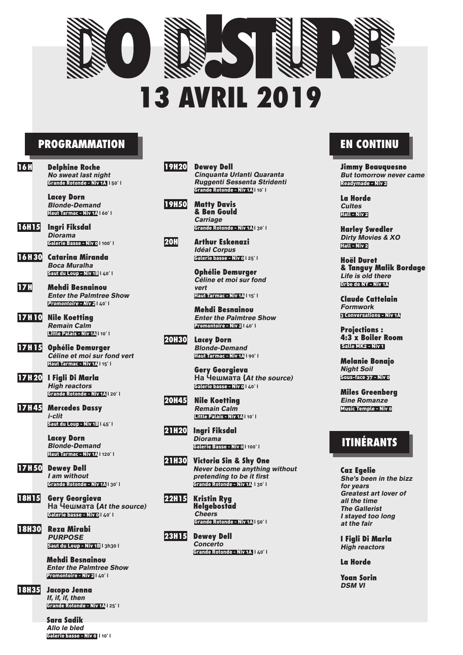

# 13 AVRIL 2019

## PROGRAMMATION

16H Delphine Roche **No sweat last night** Grande Rotonde - Niv 1A **I 50' I** 

> Lacey Dorn **Blonde-Demand** Haut Tarmac - Niv 1A **I 60' I**

16H15 Ingri Fiksdal **Diorama** Galerie Basse - Niv 0 **I 100' I**

- 16H30 Catarina Miranda **Boca Muralha** Saut du Loup - Niv 1B **I 40' I**
- **17H Mehdi Besnainou Enter the Palmtree Show** Promontoire - Niv 2 **I 40' I**

17H10 Nile Koetting **Remain Calm** Little Palais - Niv 1A **I 10' I**

- 17H15 Ophélie Demurger **Céline et moi sur fond vert** Haut Tarmac - Niv 1A **I 15' I**
- 17H20 I Figli Di Marla **High reactors** Grande Rotonde - Niv 1A **I 20' I**

17H45 Mercedes Dassy **i-clit** Saut du Loup - Niv 1B **I 45' I**

> Lacey Dorn **Blonde-Demand** Haut Tarmac - Niv 1A **I 120' I**

17H50 Dewey Dell **I am without** Grande Rotonde - Niv 1A **I 30' I**

18H15 Gery Georgieva **На Чешмата** (**At the source)** Galerie basse - Niv 0 **I 40' I**

18H30 Reza Mirabi **PURPOSE** Saut du Loup - Niv 1B **I 3h30 I**

> Mehdi Besnainou **Enter the Palmtree Show** Promontoire - Niv 2 **I 40' I**

18H35 Jacopo Jenna **If, if, if, then** Grande Rotonde - Niv 1A **I 25' I** 

> Sara Sadik **Allo le bled** Galerie basse - Niv 0 **I 10' I**

#### 19H20 Dewey Dell **Cinquanta Urlanti Quaranta Ruggenti Sessenta Stridenti** Grande Rotonde - Niv 1A **I 10' I**

19H50 Matty Davis & Ben Gould **Carriage** Grande Rotonde - Niv 1A **I 30' I**



20H Arthur Eskenazi **Idéal Corpus** Galerie basse - Niv 0 **I 25' I**

> Ophélie Demurger **Céline et moi sur fond vert** Haut Tarmac - Niv 1A **I 15' I**

Mehdi Besnainou **Enter the Palmtree Show** Promontoire - Niv 2 **I 40' I**

20H30 Lacey Dorn **Blonde-Demand** Haut Tarmac - Niv 1A **I 90' I**

> Gery Georgieva **На Чешмата** (**At the source)** Galerie basse - Niv 0 **I 40' I**

20H45 Nile Koetting **Remain Calm** Little Palais - Niv 1A **I 10' I**

21H20 Ingri Fiksdal **Diorama** Galerie Basse - Niv 0 **I 100' I**

21H30 Victoria Sin & Shy One **Never become anything without pretending to be it first** Grande Rotonde - Niv 1A **I 30' I**

22H15 Kristin Ryg Helgebostad **Cheers** Grande Rotonde - Niv 1A **I 50' I**



23H15 Dewey Dell **Concerto** Grande Rotonde - Niv 1A **I 40' I**

## EN CONTINU

Jimmy Beauquesne **But tomorrow never came** Readymade - Niv 2

La Horde **Cultes** Hall - Niv 2

Harley Swedler **Dirty Movies & XO** Hall - Niv 2

Hoël Duret & Tanguy Malik Bordage **Life is old there** Orbe de NY - Niv 1A

Claude Cattelain **Formwork** 3 Conversations - Niv 1A

Projections : 4:3 x Boiler Room Salle MK2 - Niv 1

Melanie Bonajo **Night Soil** Sous-face 37 - Niv 0

Miles Greenberg **Eine Romanze** Music Temple - Niv 0

## ITINÉRANTS

Caz Egelie **She's been in the bizz for years Greatest art lover of all the time The Gallerist I stayed too long at the fair**

I Figli Di Marla **High reactors**

La Horde

Yoan Sorin **DSM VI**